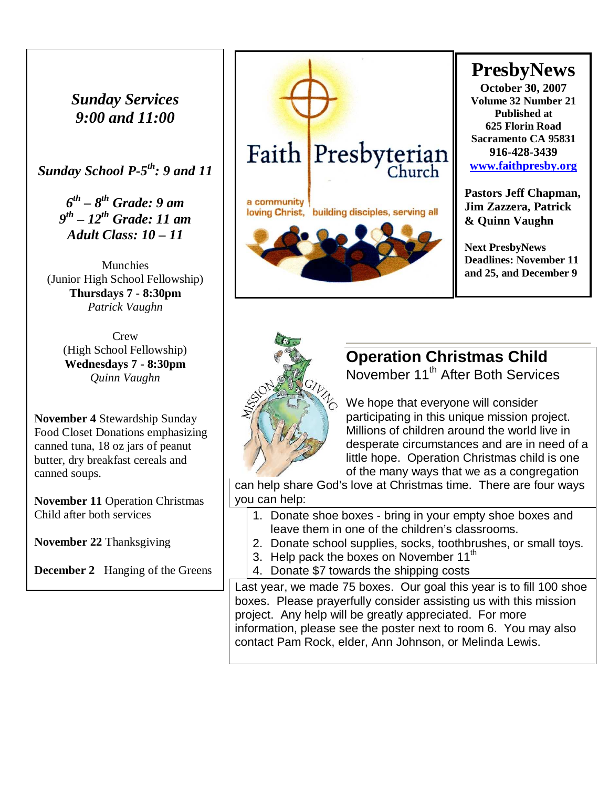*Sunday Services 9:00 and 11:00* 

*Sunday School P-5th: 9 and 11* 

*6 th – 8th Grade: 9 am 9 th – 12th Grade: 11 am Adult Class: 10 – 11* 

**Munchies** (Junior High School Fellowship) **Thursdays 7 - 8:30pm**  *Patrick Vaughn* 

> **Crew** (High School Fellowship) **Wednesdays 7 - 8:30pm**  *Quinn Vaughn*

**November 4** Stewardship Sunday Food Closet Donations emphasizing canned tuna, 18 oz jars of peanut butter, dry breakfast cereals and canned soups.

**November 11** Operation Christmas Child after both services

**November 22** Thanksgiving

**December 2** Hanging of the Greens



# **PresbyNews**

**October 30, 2007 Volume 32 Number 21 Published at 625 Florin Road Sacramento CA 95831 916-428-3439 [www.faithpresby.org](http://www.faithpresby.org/)**

**Pastors Jeff Chapman, Jim Zazzera, Patrick & Quinn Vaughn** 

**Next PresbyNews Deadlines: November 11 and 25, and December 9** 



# **Operation Christmas Child**

November 11<sup>th</sup> After Both Services

We hope that everyone will consider participating in this unique mission project. Millions of children around the world live in desperate circumstances and are in need of a little hope. Operation Christmas child is one of the many ways that we as a congregation

can help share God's love at Christmas time. There are four ways you can help:

- 1. Donate shoe boxes bring in your empty shoe boxes and leave them in one of the children's classrooms.
- 2. Donate school supplies, socks, toothbrushes, or small toys.
- 3. Help pack the boxes on November 11<sup>th</sup>
- 4. Donate \$7 towards the shipping costs

Last year, we made 75 boxes. Our goal this year is to fill 100 shoe boxes. Please prayerfully consider assisting us with this mission project. Any help will be greatly appreciated. For more information, please see the poster next to room 6. You may also contact Pam Rock, elder, Ann Johnson, or Melinda Lewis.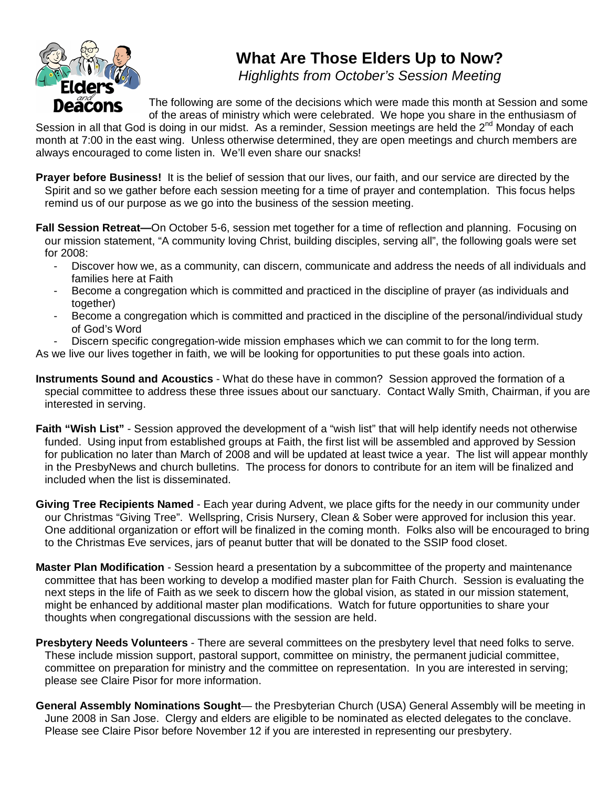

## **What Are Those Elders Up to Now?**

Highlights from October's Session Meeting

The following are some of the decisions which were made this month at Session and some of the areas of ministry which were celebrated. We hope you share in the enthusiasm of

Session in all that God is doing in our midst. As a reminder, Session meetings are held the 2<sup>nd</sup> Monday of each month at 7:00 in the east wing. Unless otherwise determined, they are open meetings and church members are always encouraged to come listen in. We'll even share our snacks!

- **Prayer before Business!** It is the belief of session that our lives, our faith, and our service are directed by the Spirit and so we gather before each session meeting for a time of prayer and contemplation. This focus helps remind us of our purpose as we go into the business of the session meeting.
- **Fall Session Retreat—**On October 5-6, session met together for a time of reflection and planning. Focusing on our mission statement, "A community loving Christ, building disciples, serving all", the following goals were set for 2008:
	- Discover how we, as a community, can discern, communicate and address the needs of all individuals and families here at Faith
	- Become a congregation which is committed and practiced in the discipline of prayer (as individuals and together)
	- Become a congregation which is committed and practiced in the discipline of the personal/individual study of God's Word
	- Discern specific congregation-wide mission emphases which we can commit to for the long term.

As we live our lives together in faith, we will be looking for opportunities to put these goals into action.

- **Instruments Sound and Acoustics** What do these have in common? Session approved the formation of a special committee to address these three issues about our sanctuary. Contact Wally Smith, Chairman, if you are interested in serving.
- **Faith "Wish List"** Session approved the development of a "wish list" that will help identify needs not otherwise funded. Using input from established groups at Faith, the first list will be assembled and approved by Session for publication no later than March of 2008 and will be updated at least twice a year. The list will appear monthly in the PresbyNews and church bulletins. The process for donors to contribute for an item will be finalized and included when the list is disseminated.
- **Giving Tree Recipients Named**  Each year during Advent, we place gifts for the needy in our community under our Christmas "Giving Tree". Wellspring, Crisis Nursery, Clean & Sober were approved for inclusion this year. One additional organization or effort will be finalized in the coming month. Folks also will be encouraged to bring to the Christmas Eve services, jars of peanut butter that will be donated to the SSIP food closet.
- **Master Plan Modification** Session heard a presentation by a subcommittee of the property and maintenance committee that has been working to develop a modified master plan for Faith Church. Session is evaluating the next steps in the life of Faith as we seek to discern how the global vision, as stated in our mission statement, might be enhanced by additional master plan modifications. Watch for future opportunities to share your thoughts when congregational discussions with the session are held.
- **Presbytery Needs Volunteers** There are several committees on the presbytery level that need folks to serve. These include mission support, pastoral support, committee on ministry, the permanent judicial committee, committee on preparation for ministry and the committee on representation. In you are interested in serving; please see Claire Pisor for more information.
- **General Assembly Nominations Sought** the Presbyterian Church (USA) General Assembly will be meeting in June 2008 in San Jose. Clergy and elders are eligible to be nominated as elected delegates to the conclave. Please see Claire Pisor before November 12 if you are interested in representing our presbytery.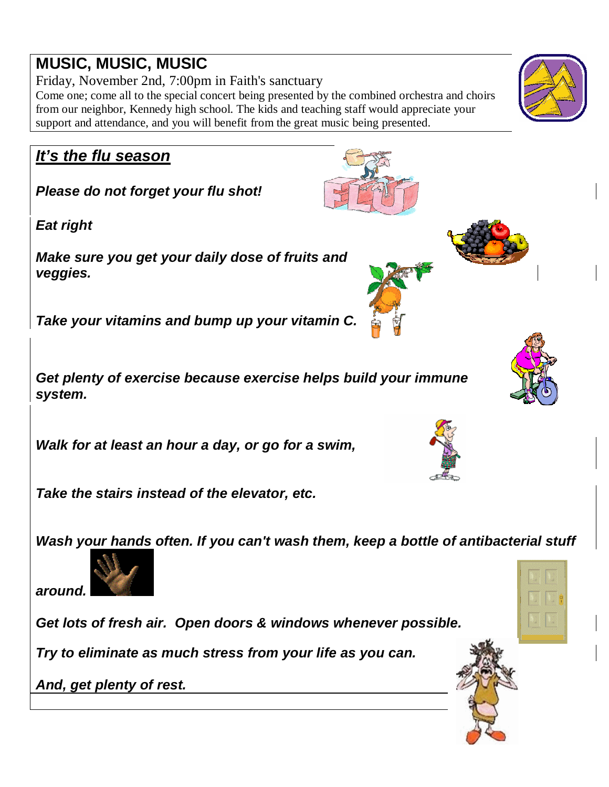# **MUSIC, MUSIC, MUSIC**

Friday, November 2nd, 7:00pm in Faith's sanctuary Come one; come all to the special concert being presented by the combined orchestra and choirs from our neighbor, Kennedy high school. The kids and teaching staff would appreciate your support and attendance, and you will benefit from the great music being presented.

## **It's the flu season**

**Please do not forget your flu shot!** 

**Eat right** 

**Make sure you get your daily dose of fruits and veggies.** 

**Take your vitamins and bump up your vitamin C.** 

**Get plenty of exercise because exercise helps build your immune system.** 

**Walk for at least an hour a day, or go for a swim,**

**Take the stairs instead of the elevator, etc.** 

**Wash your hands often. If you can't wash them, keep a bottle of antibacterial stuff** 

**around.**

**Get lots of fresh air. Open doors & windows whenever possible.** 

**Try to eliminate as much stress from your life as you can.** 

**And, get plenty of rest.** 











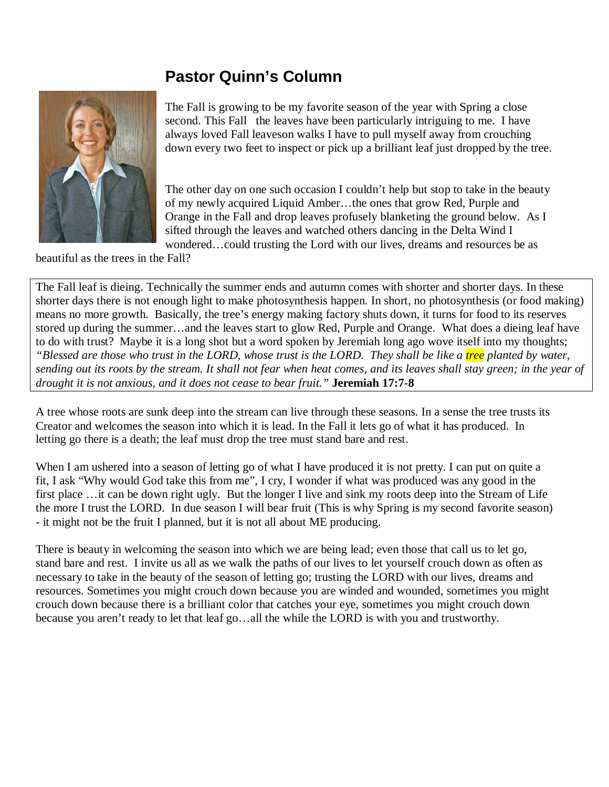#### **Pastor Quinn's Column**



The Fall is growing to be my favorite season of the year with Spring a close second. This Fall the leaves have been particularly intriguing to me. I have always loved Fall leaveson walks I have to pull myself away from crouching down every two feet to inspect or pick up a brilliant leaf just dropped by the tree.

The other day on one such occasion I couldn't help but stop to take in the beauty of my newly acquired Liquid Amber…the ones that grow Red, Purple and Orange in the Fall and drop leaves profusely blanketing the ground below. As I sifted through the leaves and watched others dancing in the Delta Wind I wondered…could trusting the Lord with our lives, dreams and resources be as

beautiful as the trees in the Fall?

The Fall leaf is dieing. Technically the summer ends and autumn comes with shorter and shorter days. In these shorter days there is not enough light to make photosynthesis happen. In short, no photosynthesis (or food making) means no more growth. Basically, the tree's energy making factory shuts down, it turns for food to its reserves stored up during the summer…and the leaves start to glow Red, Purple and Orange. What does a dieing leaf have to do with trust? Maybe it is a long shot but a word spoken by Jeremiah long ago wove itself into my thoughts; *"Blessed are those who trust in the LORD, whose trust is the LORD. They shall be like a tree planted by water, sending out its roots by the stream. It shall not fear when heat comes, and its leaves shall stay green; in the year of drought it is not anxious, and it does not cease to bear fruit."* **Jeremiah 17:7-8** 

A tree whose roots are sunk deep into the stream can live through these seasons. In a sense the tree trusts its Creator and welcomes the season into which it is lead. In the Fall it lets go of what it has produced. In letting go there is a death; the leaf must drop the tree must stand bare and rest.

When I am ushered into a season of letting go of what I have produced it is not pretty. I can put on quite a fit, I ask "Why would God take this from me", I cry, I wonder if what was produced was any good in the first place …it can be down right ugly. But the longer I live and sink my roots deep into the Stream of Life the more I trust the LORD. In due season I will bear fruit (This is why Spring is my second favorite season) - it might not be the fruit I planned, but it is not all about ME producing.

There is beauty in welcoming the season into which we are being lead; even those that call us to let go, stand bare and rest. I invite us all as we walk the paths of our lives to let yourself crouch down as often as necessary to take in the beauty of the season of letting go; trusting the LORD with our lives, dreams and resources. Sometimes you might crouch down because you are winded and wounded, sometimes you might crouch down because there is a brilliant color that catches your eye, sometimes you might crouch down because you aren't ready to let that leaf go…all the while the LORD is with you and trustworthy.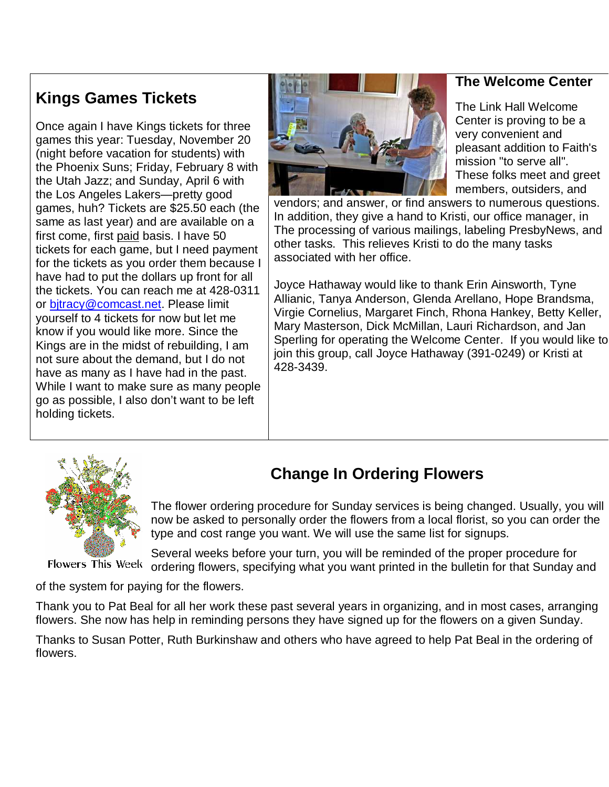#### **The Welcome Center**

## **Kings Games Tickets**

Once again I have Kings tickets for three games this year: Tuesday, November 20 (night before vacation for students) with the Phoenix Suns; Friday, February 8 with the Utah Jazz; and Sunday, April 6 with the Los Angeles Lakers—pretty good games, huh? Tickets are \$25.50 each (the same as last year) and are available on a first come, first paid basis. I have 50 tickets for each game, but I need payment for the tickets as you order them because I have had to put the dollars up front for all the tickets. You can reach me at 428-0311 or bitracy@comcast.net. Please limit yourself to 4 tickets for now but let me know if you would like more. Since the Kings are in the midst of rebuilding, I am not sure about the demand, but I do not have as many as I have had in the past. While I want to make sure as many people go as possible, I also don't want to be left holding tickets.



The Link Hall Welcome Center is proving to be a very convenient and pleasant addition to Faith's mission "to serve all". These folks meet and greet members, outsiders, and

vendors; and answer, or find answers to numerous questions. In addition, they give a hand to Kristi, our office manager, in The processing of various mailings, labeling PresbyNews, and other tasks. This relieves Kristi to do the many tasks associated with her office.

Joyce Hathaway would like to thank Erin Ainsworth, Tyne Allianic, Tanya Anderson, Glenda Arellano, Hope Brandsma, Virgie Cornelius, Margaret Finch, Rhona Hankey, Betty Keller, Mary Masterson, Dick McMillan, Lauri Richardson, and Jan Sperling for operating the Welcome Center. If you would like to join this group, call Joyce Hathaway (391-0249) or Kristi at 428-3439.



# **Change In Ordering Flowers**

The flower ordering procedure for Sunday services is being changed. Usually, you will now be asked to personally order the flowers from a local florist, so you can order the type and cost range you want. We will use the same list for signups.

Several weeks before your turn, you will be reminded of the proper procedure for Flowers This Week ordering flowers, specifying what you want printed in the bulletin for that Sunday and

of the system for paying for the flowers.

Thank you to Pat Beal for all her work these past several years in organizing, and in most cases, arranging flowers. She now has help in reminding persons they have signed up for the flowers on a given Sunday.

Thanks to Susan Potter, Ruth Burkinshaw and others who have agreed to help Pat Beal in the ordering of flowers.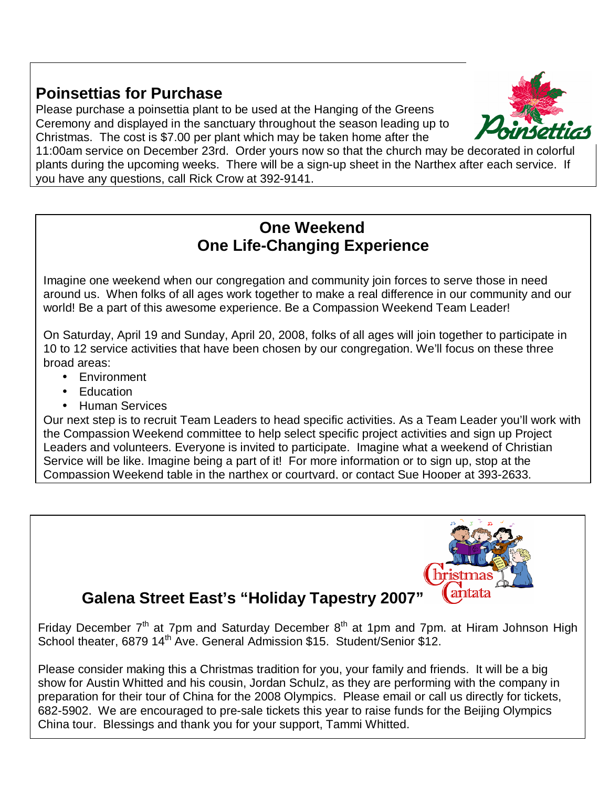## **Poinsettias for Purchase**

Please purchase a poinsettia plant to be used at the Hanging of the Greens Ceremony and displayed in the sanctuary throughout the season leading up to Christmas. The cost is \$7.00 per plant which may be taken home after the



11:00am service on December 23rd. Order yours now so that the church may be decorated in colorful plants during the upcoming weeks. There will be a sign-up sheet in the Narthex after each service. If you have any questions, call Rick Crow at 392-9141.

#### **One Weekend One Life-Changing Experience**

Imagine one weekend when our congregation and community join forces to serve those in need around us. When folks of all ages work together to make a real difference in our community and our world! Be a part of this awesome experience. Be a Compassion Weekend Team Leader!

On Saturday, April 19 and Sunday, April 20, 2008, folks of all ages will join together to participate in 10 to 12 service activities that have been chosen by our congregation. We'll focus on these three broad areas:

- Environment
- Education
- Human Services

Our next step is to recruit Team Leaders to head specific activities. As a Team Leader you'll work with the Compassion Weekend committee to help select specific project activities and sign up Project Leaders and volunteers. Everyone is invited to participate. Imagine what a weekend of Christian Service will be like. Imagine being a part of it! For more information or to sign up, stop at the Compassion Weekend table in the narthex or courtyard, or contact Sue Hooper at 393-2633.



# **Galena Street East's "Holiday Tapestry 2007"**

Friday December  $7<sup>th</sup>$  at 7pm and Saturday December  $8<sup>th</sup>$  at 1pm and 7pm. at Hiram Johnson High School theater, 6879 14<sup>th</sup> Ave. General Admission \$15. Student/Senior \$12.

Please consider making this a Christmas tradition for you, your family and friends. It will be a big show for Austin Whitted and his cousin, Jordan Schulz, as they are performing with the company in preparation for their tour of China for the 2008 Olympics. Please email or call us directly for tickets, 682-5902. We are encouraged to pre-sale tickets this year to raise funds for the Beijing Olympics China tour. Blessings and thank you for your support, Tammi Whitted.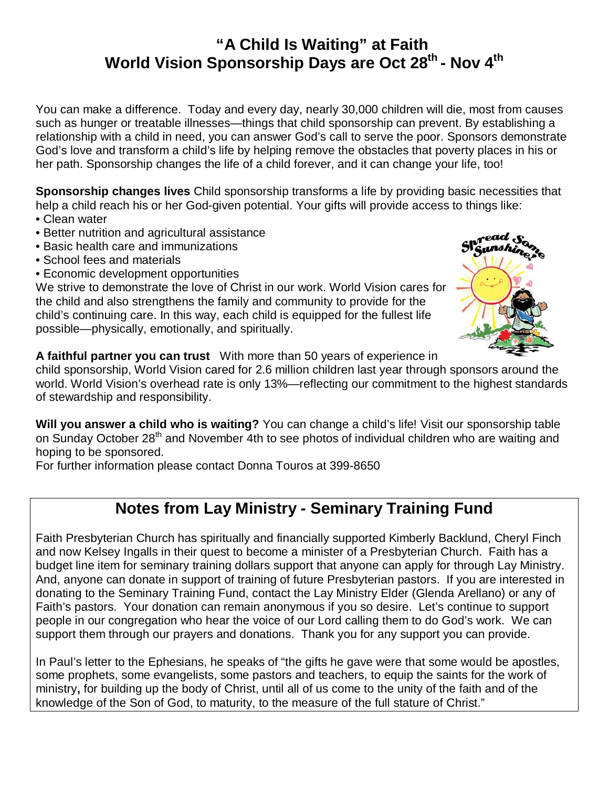#### **"A Child Is Waiting" at Faith World Vision Sponsorship Days are Oct 28th - Nov 4th**

You can make a difference. Today and every day, nearly 30,000 children will die, most from causes such as hunger or treatable illnesses—things that child sponsorship can prevent. By establishing a relationship with a child in need, you can answer God's call to serve the poor. Sponsors demonstrate God's love and transform a child's life by helping remove the obstacles that poverty places in his or her path. Sponsorship changes the life of a child forever, and it can change your life, too!

**Sponsorship changes lives** Child sponsorship transforms a life by providing basic necessities that help a child reach his or her God-given potential. Your gifts will provide access to things like:

- Clean water
- Better nutrition and agricultural assistance
- Basic health care and immunizations
- School fees and materials
- Economic development opportunities

We strive to demonstrate the love of Christ in our work. World Vision cares for the child and also strengthens the family and community to provide for the child's continuing care. In this way, each child is equipped for the fullest life possible—physically, emotionally, and spiritually.



**A faithful partner you can trust** With more than 50 years of experience in

child sponsorship, World Vision cared for 2.6 million children last year through sponsors around the world. World Vision's overhead rate is only 13%—reflecting our commitment to the highest standards of stewardship and responsibility.

**Will you answer a child who is waiting?** You can change a child's life! Visit our sponsorship table on Sunday October 28<sup>th</sup> and November 4th to see photos of individual children who are waiting and hoping to be sponsored.

For further information please contact Donna Touros at 399-8650

## **Notes from Lay Ministry - Seminary Training Fund**

Faith Presbyterian Church has spiritually and financially supported Kimberly Backlund, Cheryl Finch and now Kelsey Ingalls in their quest to become a minister of a Presbyterian Church. Faith has a budget line item for seminary training dollars support that anyone can apply for through Lay Ministry. And, anyone can donate in support of training of future Presbyterian pastors. If you are interested in donating to the Seminary Training Fund, contact the Lay Ministry Elder (Glenda Arellano) or any of Faith's pastors. Your donation can remain anonymous if you so desire. Let's continue to support people in our congregation who hear the voice of our Lord calling them to do God's work. We can support them through our prayers and donations. Thank you for any support you can provide.

In Paul's letter to the Ephesians, he speaks of "the gifts he gave were that some would be apostles, some prophets, some evangelists, some pastors and teachers, to equip the saints for the work of ministry**,** for building up the body of Christ, until all of us come to the unity of the faith and of the knowledge of the Son of God, to maturity, to the measure of the full stature of Christ."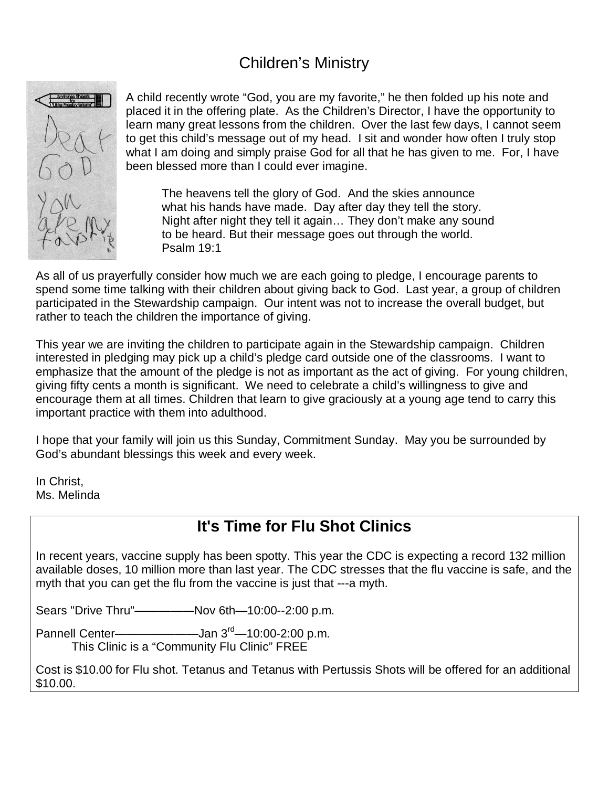## Children's Ministry



A child recently wrote "God, you are my favorite," he then folded up his note and placed it in the offering plate. As the Children's Director, I have the opportunity to learn many great lessons from the children. Over the last few days, I cannot seem to get this child's message out of my head. I sit and wonder how often I truly stop what I am doing and simply praise God for all that he has given to me. For, I have been blessed more than I could ever imagine.

The heavens tell the glory of God. And the skies announce what his hands have made. Day after day they tell the story. Night after night they tell it again… They don't make any sound to be heard. But their message goes out through the world. Psalm 19:1

As all of us prayerfully consider how much we are each going to pledge, I encourage parents to spend some time talking with their children about giving back to God. Last year, a group of children participated in the Stewardship campaign. Our intent was not to increase the overall budget, but rather to teach the children the importance of giving.

This year we are inviting the children to participate again in the Stewardship campaign. Children interested in pledging may pick up a child's pledge card outside one of the classrooms. I want to emphasize that the amount of the pledge is not as important as the act of giving. For young children, giving fifty cents a month is significant. We need to celebrate a child's willingness to give and encourage them at all times. Children that learn to give graciously at a young age tend to carry this important practice with them into adulthood.

I hope that your family will join us this Sunday, Commitment Sunday. May you be surrounded by God's abundant blessings this week and every week.

In Christ, Ms. Melinda

## **It's Time for Flu Shot Clinics**

In recent years, vaccine supply has been spotty. This year the CDC is expecting a record 132 million available doses, 10 million more than last year. The CDC stresses that the flu vaccine is safe, and the myth that you can get the flu from the vaccine is just that ---a myth.

Sears "Drive Thru"—————Nov 6th—10:00--2:00 p.m.

Pannell Center————————Jan 3<sup>rd</sup>—10:00-2:00 p.m. This Clinic is a "Community Flu Clinic" FREE

Cost is \$10.00 for Flu shot. Tetanus and Tetanus with Pertussis Shots will be offered for an additional \$10.00.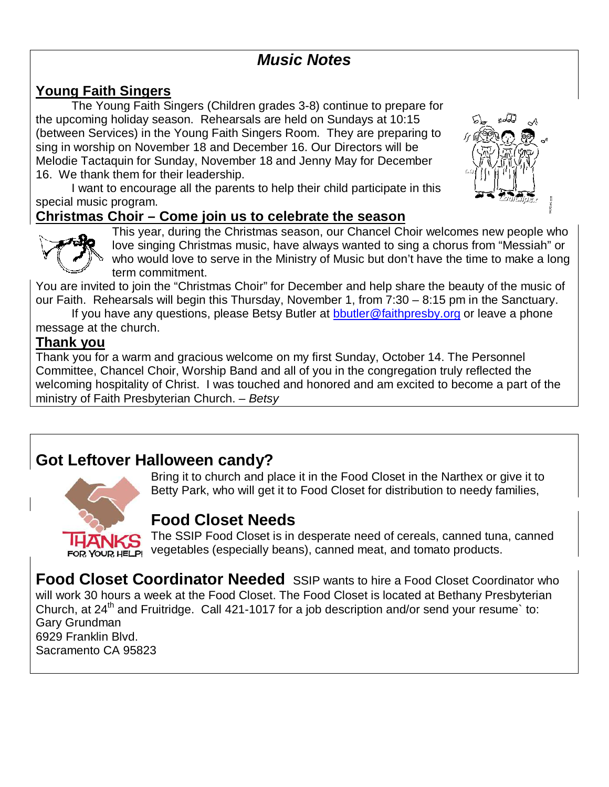## **Music Notes**

#### **Young Faith Singers**

The Young Faith Singers (Children grades 3-8) continue to prepare for the upcoming holiday season. Rehearsals are held on Sundays at 10:15 (between Services) in the Young Faith Singers Room. They are preparing to sing in worship on November 18 and December 16. Our Directors will be Melodie Tactaquin for Sunday, November 18 and Jenny May for December 16. We thank them for their leadership.

I want to encourage all the parents to help their child participate in this special music program.

#### **Christmas Choir – Come join us to celebrate the season**





This year, during the Christmas season, our Chancel Choir welcomes new people who love singing Christmas music, have always wanted to sing a chorus from "Messiah" or who would love to serve in the Ministry of Music but don't have the time to make a long term commitment.

You are invited to join the "Christmas Choir" for December and help share the beauty of the music of our Faith. Rehearsals will begin this Thursday, November 1, from 7:30 – 8:15 pm in the Sanctuary.

If you have any questions, please Betsy Butler at [bbutler@faithpresby.org](mailto:bbutler@faithpresby.org) or leave a phone message at the church.

#### **Thank you**

Thank you for a warm and gracious welcome on my first Sunday, October 14. The Personnel Committee, Chancel Choir, Worship Band and all of you in the congregation truly reflected the welcoming hospitality of Christ. I was touched and honored and am excited to become a part of the ministry of Faith Presbyterian Church. - Betsy

## **Got Leftover Halloween candy?**



Bring it to church and place it in the Food Closet in the Narthex or give it to Betty Park, who will get it to Food Closet for distribution to needy families,

## **Food Closet Needs**

The SSIP Food Closet is in desperate need of cereals, canned tuna, canned vegetables (especially beans), canned meat, and tomato products.

**Food Closet Coordinator Needed** SSIP wants to hire a Food Closet Coordinator who will work 30 hours a week at the Food Closet. The Food Closet is located at Bethany Presbyterian Church, at 24<sup>th</sup> and Fruitridge. Call 421-1017 for a job description and/or send your resume<sup>b</sup> to: Gary Grundman 6929 Franklin Blvd. Sacramento CA 95823